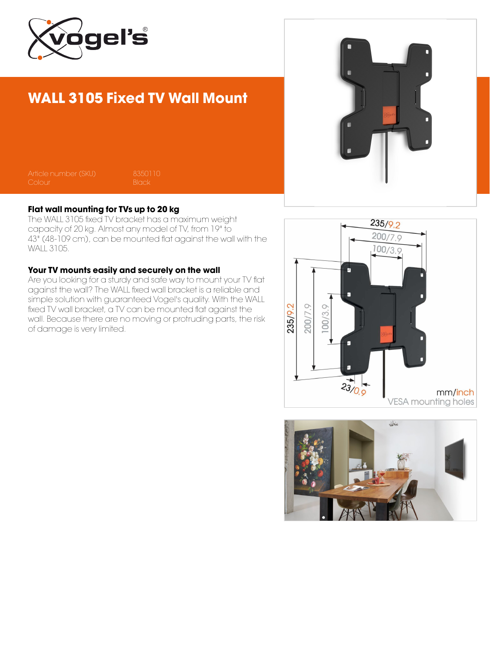

## WALL 3105 Fixed TV Wall Mount

Article number (SKU) 8350110

### Flat wall mounting for TVs up to 20 kg

The WALL 3105 fixed TV bracket has a maximum weight capacity of 20 kg. Almost any model of TV, from 19" to 43" (48-109 cm), can be mounted flat against the wall with the WALL 3105.

#### Your TV mounts easily and securely on the wall

Are you looking for a sturdy and safe way to mount your TV flat against the wall? The WALL fixed wall bracket is a reliable and simple solution with guaranteed Vogel's quality. With the WALL fixed TV wall bracket, a TV can be mounted flat against the wall. Because there are no moving or protruding parts, the risk of damage is very limited.